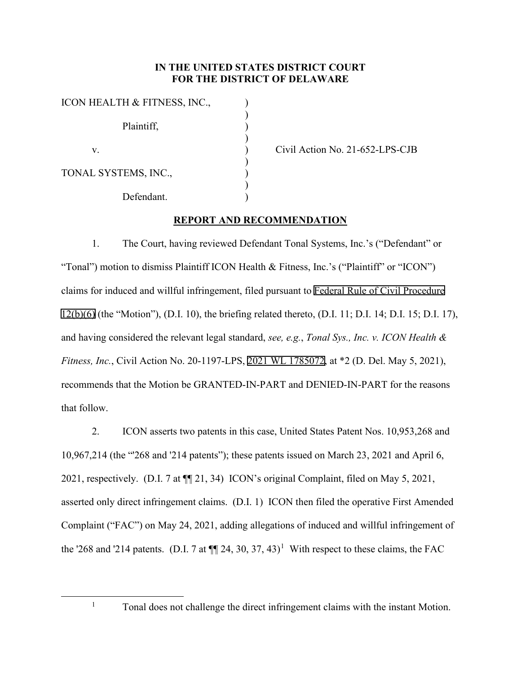## **IN THE UNITED STATES DISTRICT COURT FOR THE DISTRICT OF DELAWARE**

| ICON HEALTH & FITNESS, INC., |  |
|------------------------------|--|
| Plaintiff,                   |  |
| V.                           |  |
| TONAL SYSTEMS, INC.,         |  |
| Defendant.                   |  |

Civil Action No. 21-652-LPS-CJB

## **REPORT AND RECOMMENDATION**

1. The Court, having reviewed Defendant Tonal Systems, Inc.'s ("Defendant" or "Tonal") motion to dismiss Plaintiff ICON Health & Fitness, Inc.'s ("Plaintiff" or "ICON") claims for induced and willful infringement, filed pursuant to [Federal Rule of Civil Procedure](http://www.google.com/search?q=FRCP

12(b)(6))  [12\(b\)\(6\)](http://www.google.com/search?q=FRCP

12(b)(6)) (the "Motion"), (D.I. 10), the briefing related thereto, (D.I. 11; D.I. 14; D.I. 15; D.I. 17), and having considered the relevant legal standard, *see, e.g.*, *Tonal Sys., Inc. v. ICON Health & Fitness, Inc.*, Civil Action No. 20-1197-LPS, [2021 WL 1785072,](https://www.westlaw.com/Link/Document/FullText?rs=USCLink&vr=3.0&findType=Y&cite=2021%2Bwl%2B1785072&refPos=1785072&refPosType=s&clientid=USCourts) at \*2 (D. Del. May 5, 2021), recommends that the Motion be GRANTED-IN-PART and DENIED-IN-PART for the reasons that follow.

2. ICON asserts two patents in this case, United States Patent Nos. 10,953,268 and 10,967,214 (the "'268 and '214 patents"); these patents issued on March 23, 2021 and April 6, 2021, respectively. (D.I. 7 at ¶¶ 21, 34) ICON's original Complaint, filed on May 5, 2021, asserted only direct infringement claims. (D.I. 1) ICON then filed the operative First Amended Complaint ("FAC") on May 24, 2021, adding allegations of induced and willful infringement of the '268 and '2[1](#page-0-0)4 patents. (D.I. 7 at  $\P$  24, 30, 37, 43)<sup>1</sup> With respect to these claims, the FAC

<span id="page-0-0"></span>

<sup>&</sup>lt;sup>1</sup> Tonal does not challenge the direct infringement claims with the instant Motion.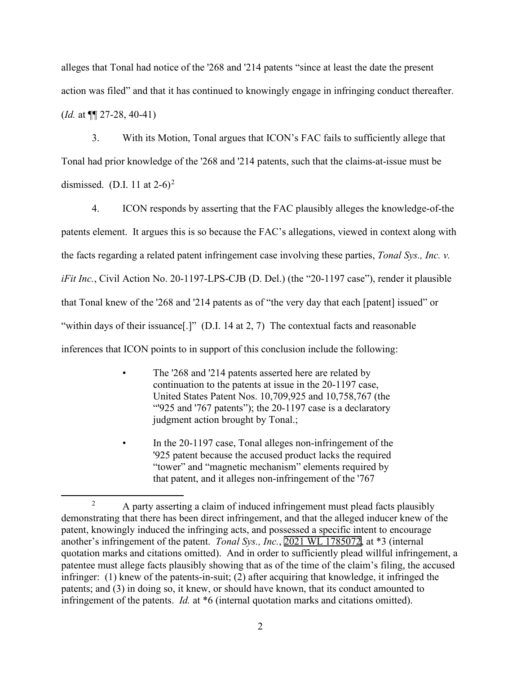alleges that Tonal had notice of the '268 and '214 patents "since at least the date the present action was filed" and that it has continued to knowingly engage in infringing conduct thereafter. (*Id.* at ¶¶ 27-28, 40-41)

3. With its Motion, Tonal argues that ICON's FAC fails to sufficiently allege that Tonal had prior knowledge of the '268 and '214 patents, such that the claims-at-issue must be dismissed. (D.I. 11 at  $2-6$  $2-6$ )<sup>2</sup>

4. ICON responds by asserting that the FAC plausibly alleges the knowledge-of-the patents element. It argues this is so because the FAC's allegations, viewed in context along with the facts regarding a related patent infringement case involving these parties, *Tonal Sys., Inc. v. iFit Inc.*, Civil Action No. 20-1197-LPS-CJB (D. Del.) (the "20-1197 case"), render it plausible that Tonal knew of the '268 and '214 patents as of "the very day that each [patent] issued" or "within days of their issuance..." (D.I. 14 at 2, 7) The contextual facts and reasonable inferences that ICON points to in support of this conclusion include the following:

- The '268 and '214 patents asserted here are related by continuation to the patents at issue in the 20-1197 case, United States Patent Nos. 10,709,925 and 10,758,767 (the "'925 and '767 patents"); the 20-1197 case is a declaratory judgment action brought by Tonal.;
- In the 20-1197 case, Tonal alleges non-infringement of the '925 patent because the accused product lacks the required "tower" and "magnetic mechanism" elements required by that patent, and it alleges non-infringement of the '767

<span id="page-1-0"></span><sup>&</sup>lt;sup>2</sup> A party asserting a claim of induced infringement must plead facts plausibly demonstrating that there has been direct infringement, and that the alleged inducer knew of the patent, knowingly induced the infringing acts, and possessed a specific intent to encourage another's infringement of the patent. *Tonal Sys., Inc.*, [2021 WL 1785072,](https://www.westlaw.com/Link/Document/FullText?rs=USCLink&vr=3.0&findType=Y&cite=2021%2B%2Bwl%2B%2B1785072&refPos=1785072&refPosType=s&clientid=USCourts) at \*3 (internal quotation marks and citations omitted). And in order to sufficiently plead willful infringement, a patentee must allege facts plausibly showing that as of the time of the claim's filing, the accused infringer: (1) knew of the patents-in-suit; (2) after acquiring that knowledge, it infringed the patents; and (3) in doing so, it knew, or should have known, that its conduct amounted to infringement of the patents. *Id.* at \*6 (internal quotation marks and citations omitted).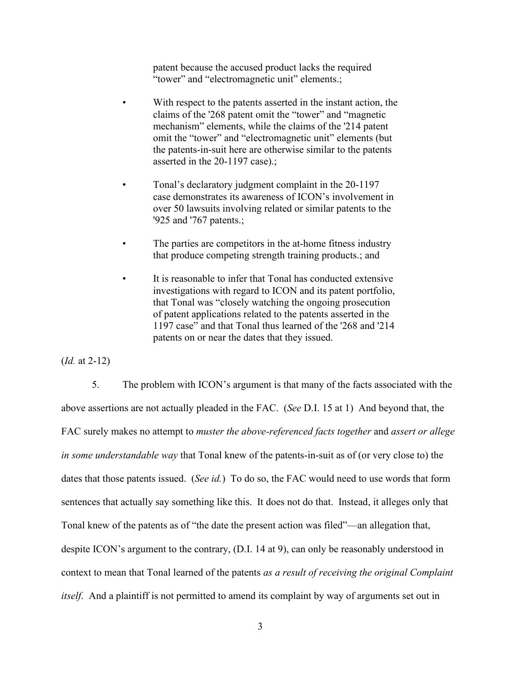patent because the accused product lacks the required "tower" and "electromagnetic unit" elements.;

- With respect to the patents asserted in the instant action, the claims of the '268 patent omit the "tower" and "magnetic mechanism" elements, while the claims of the '214 patent omit the "tower" and "electromagnetic unit" elements (but the patents-in-suit here are otherwise similar to the patents asserted in the 20-1197 case).;
- Tonal's declaratory judgment complaint in the 20-1197 case demonstrates its awareness of ICON's involvement in over 50 lawsuits involving related or similar patents to the '925 and '767 patents.;
- The parties are competitors in the at-home fitness industry that produce competing strength training products.; and
- It is reasonable to infer that Tonal has conducted extensive investigations with regard to ICON and its patent portfolio, that Tonal was "closely watching the ongoing prosecution of patent applications related to the patents asserted in the 1197 case" and that Tonal thus learned of the '268 and '214 patents on or near the dates that they issued.

(*Id.* at 2-12)

5. The problem with ICON's argument is that many of the facts associated with the above assertions are not actually pleaded in the FAC. (*See* D.I. 15 at 1) And beyond that, the FAC surely makes no attempt to *muster the above-referenced facts together* and *assert or allege in some understandable way* that Tonal knew of the patents-in-suit as of (or very close to) the dates that those patents issued. (*See id.*) To do so, the FAC would need to use words that form sentences that actually say something like this. It does not do that. Instead, it alleges only that Tonal knew of the patents as of "the date the present action was filed"—an allegation that, despite ICON's argument to the contrary, (D.I. 14 at 9), can only be reasonably understood in context to mean that Tonal learned of the patents *as a result of receiving the original Complaint itself*. And a plaintiff is not permitted to amend its complaint by way of arguments set out in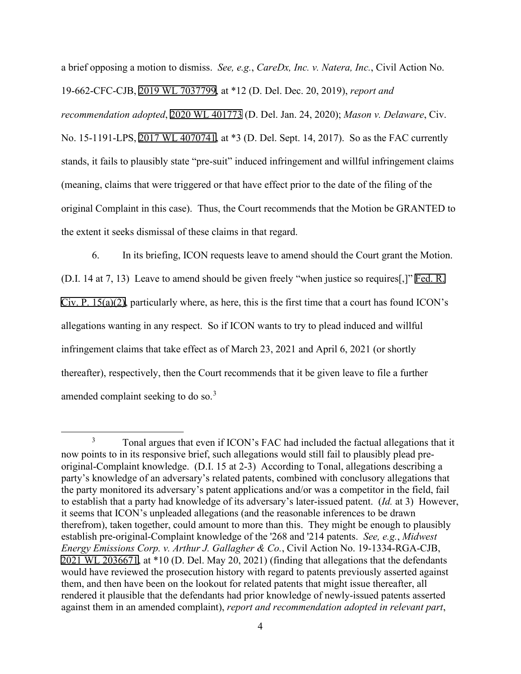a brief opposing a motion to dismiss. *See, e.g.*, *CareDx, Inc. v. Natera, Inc.*, Civil Action No. 19-662-CFC-CJB, [2019 WL 7037799,](https://www.westlaw.com/Link/Document/FullText?rs=USCLink&vr=3.0&findType=Y&cite=2019%2Bwl%2B7037799&refPos=7037799&refPosType=s&clientid=USCourts) at \*12 (D. Del. Dec. 20, 2019), *report and recommendation adopted*, [2020 WL 401773](https://www.westlaw.com/Link/Document/FullText?rs=USCLink&vr=3.0&findType=Y&cite=2020%2Bwl%2B401773&refPos=401773&refPosType=s&clientid=USCourts) (D. Del. Jan. 24, 2020); *Mason v. Delaware*, Civ. No. 15-1191-LPS, [2017 WL 4070741,](https://www.westlaw.com/Link/Document/FullText?rs=USCLink&vr=3.0&findType=Y&cite=2017%2Bwl%2B4070741&refPos=4070741&refPosType=s&clientid=USCourts) at \*3 (D. Del. Sept. 14, 2017). So as the FAC currently stands, it fails to plausibly state "pre-suit" induced infringement and willful infringement claims (meaning, claims that were triggered or that have effect prior to the date of the filing of the original Complaint in this case). Thus, the Court recommends that the Motion be GRANTED to the extent it seeks dismissal of these claims in that regard.

6. In its briefing, ICON requests leave to amend should the Court grant the Motion. (D.I. 14 at 7, 13) Leave to amend should be given freely "when justice so requires[,]" [Fed. R.](http://www.google.com/search?q=FRCP+15(a)(2)) [Civ. P. 15\(a\)\(2\)](http://www.google.com/search?q=FRCP+15(a)(2)), particularly where, as here, this is the first time that a court has found ICON's allegations wanting in any respect. So if ICON wants to try to plead induced and willful infringement claims that take effect as of March 23, 2021 and April 6, 2021 (or shortly thereafter), respectively, then the Court recommends that it be given leave to file a further amended complaint seeking to do so.<sup>[3](#page-3-0)</sup>

<span id="page-3-0"></span><sup>&</sup>lt;sup>3</sup> Tonal argues that even if ICON's FAC had included the factual allegations that it now points to in its responsive brief, such allegations would still fail to plausibly plead preoriginal-Complaint knowledge. (D.I. 15 at 2-3) According to Tonal, allegations describing a party's knowledge of an adversary's related patents, combined with conclusory allegations that the party monitored its adversary's patent applications and/or was a competitor in the field, fail to establish that a party had knowledge of its adversary's later-issued patent. (*Id.* at 3) However, it seems that ICON's unpleaded allegations (and the reasonable inferences to be drawn therefrom), taken together, could amount to more than this. They might be enough to plausibly establish pre-original-Complaint knowledge of the '268 and '214 patents. *See, e.g.*, *Midwest Energy Emissions Corp. v. Arthur J. Gallagher & Co.*, Civil Action No. 19-1334-RGA-CJB, [2021 WL 2036671,](https://www.westlaw.com/Link/Document/FullText?rs=USCLink&vr=3.0&findType=Y&cite=2021%2B%2Bwl%2B%2B2036671&refPos=2036671&refPosType=s&clientid=USCourts) at \*10 (D. Del. May 20, 2021) (finding that allegations that the defendants would have reviewed the prosecution history with regard to patents previously asserted against them, and then have been on the lookout for related patents that might issue thereafter, all rendered it plausible that the defendants had prior knowledge of newly-issued patents asserted against them in an amended complaint), *report and recommendation adopted in relevant part*,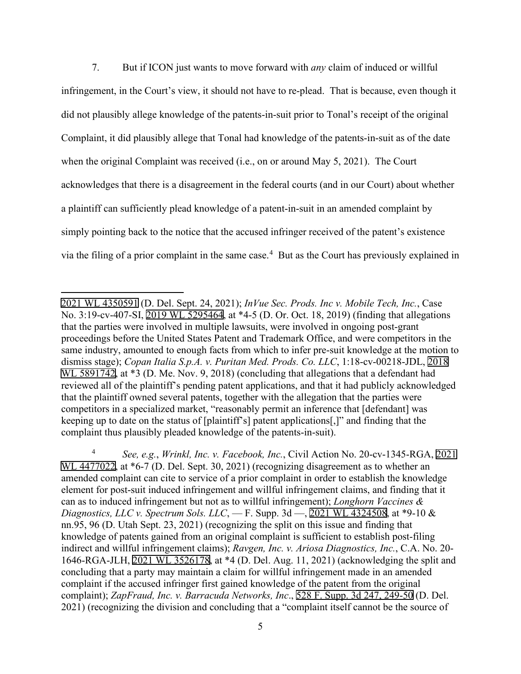7. But if ICON just wants to move forward with *any* claim of induced or willful infringement, in the Court's view, it should not have to re-plead. That is because, even though it did not plausibly allege knowledge of the patents-in-suit prior to Tonal's receipt of the original Complaint, it did plausibly allege that Tonal had knowledge of the patents-in-suit as of the date when the original Complaint was received (i.e., on or around May 5, 2021). The Court acknowledges that there is a disagreement in the federal courts (and in our Court) about whether a plaintiff can sufficiently plead knowledge of a patent-in-suit in an amended complaint by simply pointing back to the notice that the accused infringer received of the patent's existence via the filing of a prior complaint in the same case. [4](#page-4-0) But as the Court has previously explained in

[<sup>2021</sup> WL 4350591](https://www.westlaw.com/Link/Document/FullText?rs=USCLink&vr=3.0&findType=Y&cite=2021%2Bwl%2B4350591&refPos=4350591&refPosType=s&clientid=USCourts) (D. Del. Sept. 24, 2021); *InVue Sec. Prods. Inc v. Mobile Tech, Inc.*, Case No. 3:19-cv-407-SI, [2019 WL 5295464,](https://www.westlaw.com/Link/Document/FullText?rs=USCLink&vr=3.0&findType=Y&cite=2019%2B%2Bwl%2B%2B5295464&refPos=5295464&refPosType=s&clientid=USCourts) at \*4-5 (D. Or. Oct. 18, 2019) (finding that allegations that the parties were involved in multiple lawsuits, were involved in ongoing post-grant proceedings before the United States Patent and Trademark Office, and were competitors in the same industry, amounted to enough facts from which to infer pre-suit knowledge at the motion to dismiss stage); *Copan Italia S.p.A. v. Puritan Med. Prods. Co. LLC*, 1:18-cv-00218-JDL, [2018](https://www.westlaw.com/Link/Document/FullText?rs=USCLink&vr=3.0&findType=Y&cite=2018%2Bwl%2B%2B5891742&refPos=5891742&refPosType=s&clientid=USCourts)  [WL 5891742,](https://www.westlaw.com/Link/Document/FullText?rs=USCLink&vr=3.0&findType=Y&cite=2018%2Bwl%2B%2B5891742&refPos=5891742&refPosType=s&clientid=USCourts) at  $*3$  (D. Me. Nov. 9, 2018) (concluding that allegations that a defendant had reviewed all of the plaintiff's pending patent applications, and that it had publicly acknowledged that the plaintiff owned several patents, together with the allegation that the parties were competitors in a specialized market, "reasonably permit an inference that [defendant] was keeping up to date on the status of [plaintiff's] patent applications[,]" and finding that the complaint thus plausibly pleaded knowledge of the patents-in-suit).

<span id="page-4-0"></span><sup>4</sup> *See, e.g.*, *Wrinkl, Inc. v. Facebook, Inc.*, Civil Action No. 20-cv-1345-RGA, [2021](https://www.westlaw.com/Link/Document/FullText?rs=USCLink&vr=3.0&findType=Y&cite=2021%2Bwl%2B%2B4477022&refPos=4477022&refPosType=s&clientid=USCourts)  [WL 4477022,](https://www.westlaw.com/Link/Document/FullText?rs=USCLink&vr=3.0&findType=Y&cite=2021%2Bwl%2B%2B4477022&refPos=4477022&refPosType=s&clientid=USCourts) at  $*6-7$  (D. Del. Sept. 30, 2021) (recognizing disagreement as to whether an amended complaint can cite to service of a prior complaint in order to establish the knowledge element for post-suit induced infringement and willful infringement claims, and finding that it can as to induced infringement but not as to willful infringement); *Longhorn Vaccines & Diagnostics, LLC v. Spectrum Sols. LLC*, — F. Supp. 3d —, [2021 WL 4324508,](https://www.westlaw.com/Link/Document/FullText?rs=USCLink&vr=3.0&findType=Y&cite=2021%2B%2Bwl%2B%2B4324508&refPos=4324508&refPosType=s&clientid=USCourts) at \*9-10 & nn.95, 96 (D. Utah Sept. 23, 2021) (recognizing the split on this issue and finding that knowledge of patents gained from an original complaint is sufficient to establish post-filing indirect and willful infringement claims); *Ravgen, Inc. v. Ariosa Diagnostics, Inc.*, C.A. No. 20- 1646-RGA-JLH, [2021 WL 3526178,](https://www.westlaw.com/Link/Document/FullText?rs=USCLink&vr=3.0&findType=Y&cite=2021%2B%2Bwl%2B%2B3526178&refPos=3526178&refPosType=s&clientid=USCourts) at \*4 (D. Del. Aug. 11, 2021) (acknowledging the split and concluding that a party may maintain a claim for willful infringement made in an amended complaint if the accused infringer first gained knowledge of the patent from the original complaint); *ZapFraud, Inc. v. Barracuda Networks, Inc*., [528 F. Supp. 3d 247, 249-50](http://scholar.google.com/scholar?q=528++f.++supp.++3d++247&btnG=&hl=en&as_sdt=6) (D. Del. 2021) (recognizing the division and concluding that a "complaint itself cannot be the source of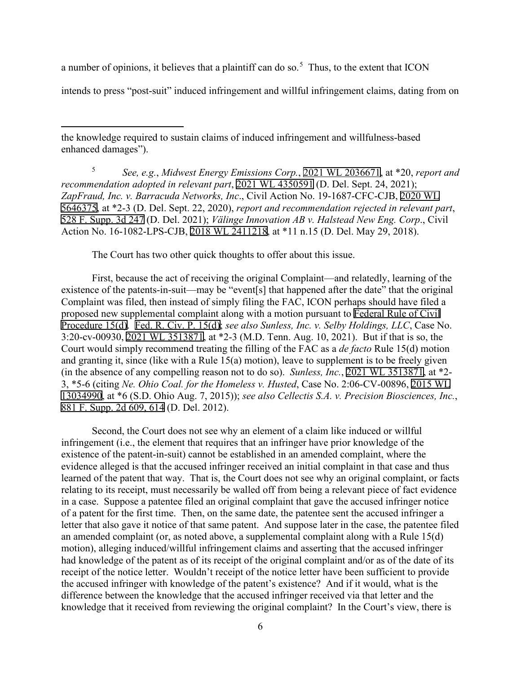a number of opinions, it believes that a plaintiff can do so.<sup>[5](#page-5-0)</sup> Thus, to the extent that ICON

intends to press "post-suit" induced infringement and willful infringement claims, dating from on

the knowledge required to sustain claims of induced infringement and willfulness-based enhanced damages").

<span id="page-5-0"></span><sup>5</sup> *See, e.g.*, *Midwest Energy Emissions Corp.*, [2021 WL 2036671](https://www.westlaw.com/Link/Document/FullText?rs=USCLink&vr=3.0&findType=Y&cite=2021%2Bwl%2B2036671&refPos=2036671&refPosType=s&clientid=USCourts), at \*20, *report and recommendation adopted in relevant part*, [2021 WL 4350591](https://www.westlaw.com/Link/Document/FullText?rs=USCLink&vr=3.0&findType=Y&cite=2021%2B%2Bwl%2B%2B4350591&refPos=4350591&refPosType=s&clientid=USCourts) (D. Del. Sept. 24, 2021); *ZapFraud, Inc. v. Barracuda Networks, Inc*., Civil Action No. 19-1687-CFC-CJB, [2020 WL](https://www.westlaw.com/Link/Document/FullText?rs=USCLink&vr=3.0&findType=Y&cite=2020%2B%2Bwl%2B5646375&refPos=5646375&refPosType=s&clientid=USCourts) [5646375](https://www.westlaw.com/Link/Document/FullText?rs=USCLink&vr=3.0&findType=Y&cite=2020%2B%2Bwl%2B5646375&refPos=5646375&refPosType=s&clientid=USCourts), at \*2-3 (D. Del. Sept. 22, 2020), *report and recommendation rejected in relevant part*, [528 F. Supp. 3d 247](http://scholar.google.com/scholar?q=528++f.++supp.++3d++247&btnG=&hl=en&as_sdt=6) (D. Del. 2021); *Välinge Innovation AB v. Halstead New Eng. Corp*., Civil Action No. 16-1082-LPS-CJB, [2018 WL 2411218](https://www.westlaw.com/Link/Document/FullText?rs=USCLink&vr=3.0&findType=Y&cite=2018%2B%2Bwl%2B%2B2411218&refPos=2411218&refPosType=s&clientid=USCourts), at \*11 n.15 (D. Del. May 29, 2018).

The Court has two other quick thoughts to offer about this issue.

First, because the act of receiving the original Complaint—and relatedly, learning of the existence of the patents-in-suit—may be "event[s] that happened after the date" that the original Complaint was filed, then instead of simply filing the FAC, ICON perhaps should have filed a proposed new supplemental complaint along with a motion pursuant to [Federal Rule of Civil](http://www.google.com/search?q=FRCP++15(d))  [Procedure 15\(d\).](http://www.google.com/search?q=FRCP++15(d)) [Fed. R. Civ. P. 15\(d\);](http://www.google.com/search?q=FRCP++15(d)) *see also Sunless, Inc. v. Selby Holdings, LLC*, Case No. 3:20-cv-00930, [2021 WL 3513871](https://www.westlaw.com/Link/Document/FullText?rs=USCLink&vr=3.0&findType=Y&cite=2021%2B%2Bwl%2B%2B3513871&refPos=3513871&refPosType=s&clientid=USCourts), at \*2-3 (M.D. Tenn. Aug. 10, 2021). But if that is so, the Court would simply recommend treating the filling of the FAC as a *de facto* Rule 15(d) motion and granting it, since (like with a Rule 15(a) motion), leave to supplement is to be freely given (in the absence of any compelling reason not to do so). *Sunless, Inc.*, [2021 WL 3513871,](https://www.westlaw.com/Link/Document/FullText?rs=USCLink&vr=3.0&findType=Y&cite=2021%2B%2Bwl%2B%2B3513871&refPos=3513871&refPosType=s&clientid=USCourts) at \*2- 3, \*5-6 (citing *Ne. Ohio Coal. for the Homeless v. Husted*, Case No. 2:06-CV-00896, [2015 WL](https://www.westlaw.com/Link/Document/FullText?rs=USCLink&vr=3.0&findType=Y&cite=2015%2B%2Bwl%2B13034990&refPos=13034990&refPosType=s&clientid=USCourts) [13034990](https://www.westlaw.com/Link/Document/FullText?rs=USCLink&vr=3.0&findType=Y&cite=2015%2B%2Bwl%2B13034990&refPos=13034990&refPosType=s&clientid=USCourts), at \*6 (S.D. Ohio Aug. 7, 2015)); *see also Cellectis S.A. v. Precision Biosciences, Inc.*, [881 F. Supp. 2d 609, 614](http://scholar.google.com/scholar?q=881++f.++supp.++2d++609&btnG=&hl=en&as_sdt=6) (D. Del. 2012).

Second, the Court does not see why an element of a claim like induced or willful infringement (i.e., the element that requires that an infringer have prior knowledge of the existence of the patent-in-suit) cannot be established in an amended complaint, where the evidence alleged is that the accused infringer received an initial complaint in that case and thus learned of the patent that way. That is, the Court does not see why an original complaint, or facts relating to its receipt, must necessarily be walled off from being a relevant piece of fact evidence in a case. Suppose a patentee filed an original complaint that gave the accused infringer notice of a patent for the first time. Then, on the same date, the patentee sent the accused infringer a letter that also gave it notice of that same patent. And suppose later in the case, the patentee filed an amended complaint (or, as noted above, a supplemental complaint along with a Rule 15(d) motion), alleging induced/willful infringement claims and asserting that the accused infringer had knowledge of the patent as of its receipt of the original complaint and/or as of the date of its receipt of the notice letter. Wouldn't receipt of the notice letter have been sufficient to provide the accused infringer with knowledge of the patent's existence? And if it would, what is the difference between the knowledge that the accused infringer received via that letter and the knowledge that it received from reviewing the original complaint? In the Court's view, there is